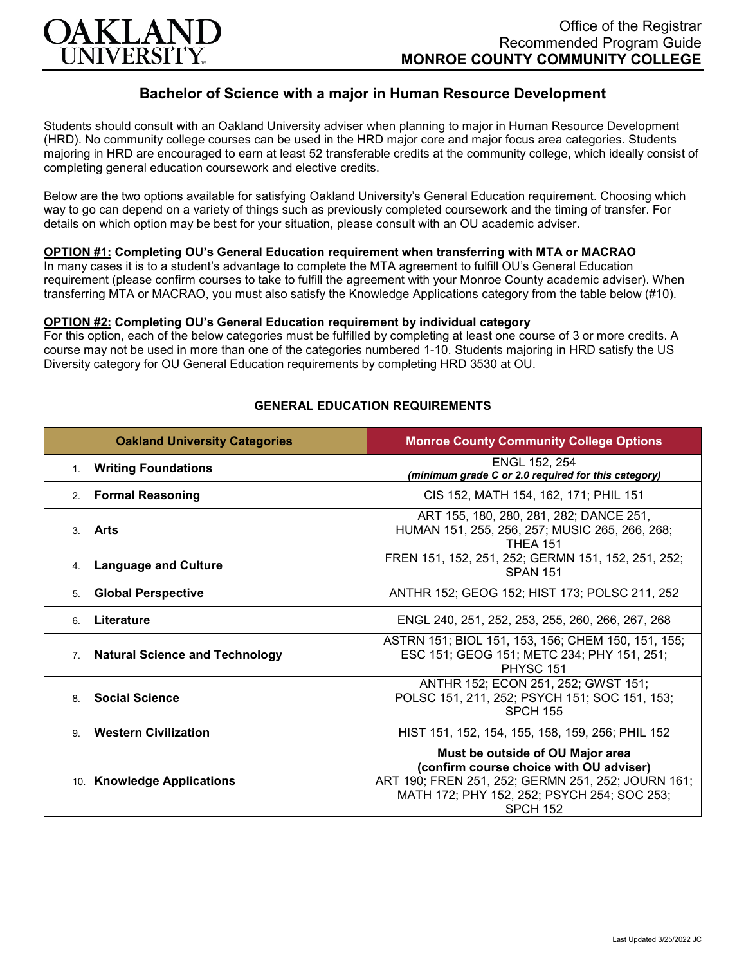

# **Bachelor of Science with a major in Human Resource Development**

Students should consult with an Oakland University adviser when planning to major in Human Resource Development (HRD). No community college courses can be used in the HRD major core and major focus area categories. Students majoring in HRD are encouraged to earn at least 52 transferable credits at the community college, which ideally consist of completing general education coursework and elective credits.

Below are the two options available for satisfying Oakland University's General Education requirement. Choosing which way to go can depend on a variety of things such as previously completed coursework and the timing of transfer. For details on which option may be best for your situation, please consult with an OU academic adviser.

#### **OPTION #1: Completing OU's General Education requirement when transferring with MTA or MACRAO**

In many cases it is to a student's advantage to complete the MTA agreement to fulfill OU's General Education requirement (please confirm courses to take to fulfill the agreement with your Monroe County academic adviser). When transferring MTA or MACRAO, you must also satisfy the Knowledge Applications category from the table below (#10).

#### **OPTION #2: Completing OU's General Education requirement by individual category**

For this option, each of the below categories must be fulfilled by completing at least one course of 3 or more credits. A course may not be used in more than one of the categories numbered 1-10. Students majoring in HRD satisfy the US Diversity category for OU General Education requirements by completing HRD 3530 at OU.

| <b>Oakland University Categories</b>                    | <b>Monroe County Community College Options</b>                                                                                                                                                      |
|---------------------------------------------------------|-----------------------------------------------------------------------------------------------------------------------------------------------------------------------------------------------------|
| <b>Writing Foundations</b><br>1 <sub>1</sub>            | ENGL 152, 254<br>(minimum grade C or 2.0 required for this category)                                                                                                                                |
| 2. Formal Reasoning                                     | CIS 152, MATH 154, 162, 171; PHIL 151                                                                                                                                                               |
| Arts<br>$\mathcal{R}$                                   | ART 155, 180, 280, 281, 282; DANCE 251,<br>HUMAN 151, 255, 256, 257; MUSIC 265, 266, 268;<br><b>THEA 151</b>                                                                                        |
| <b>Language and Culture</b><br>4.                       | FREN 151, 152, 251, 252; GERMN 151, 152, 251, 252;<br><b>SPAN 151</b>                                                                                                                               |
| <b>Global Perspective</b><br>5.                         | ANTHR 152; GEOG 152; HIST 173; POLSC 211, 252                                                                                                                                                       |
| Literature<br>6                                         | ENGL 240, 251, 252, 253, 255, 260, 266, 267, 268                                                                                                                                                    |
| <b>Natural Science and Technology</b><br>7 <sup>1</sup> | ASTRN 151; BIOL 151, 153, 156; CHEM 150, 151, 155;<br>ESC 151; GEOG 151; METC 234; PHY 151, 251;<br><b>PHYSC 151</b>                                                                                |
| <b>Social Science</b><br>8                              | ANTHR 152; ECON 251, 252; GWST 151;<br>POLSC 151, 211, 252; PSYCH 151; SOC 151, 153;<br><b>SPCH 155</b>                                                                                             |
| <b>Western Civilization</b><br>9                        | HIST 151, 152, 154, 155, 158, 159, 256; PHIL 152                                                                                                                                                    |
| 10. Knowledge Applications                              | Must be outside of OU Major area<br>(confirm course choice with OU adviser)<br>ART 190; FREN 251, 252; GERMN 251, 252; JOURN 161;<br>MATH 172; PHY 152, 252; PSYCH 254; SOC 253;<br><b>SPCH 152</b> |

### **GENERAL EDUCATION REQUIREMENTS**